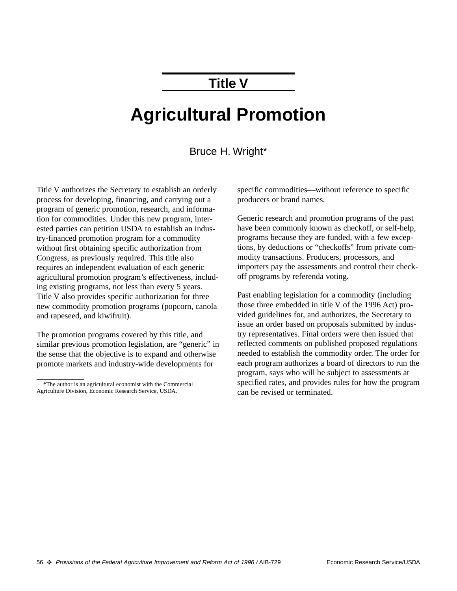### **Title V**

# **Agricultural Promotion**

#### Bruce H. Wright\*

Title V authorizes the Secretary to establish an orderly process for developing, financing, and carrying out a program of generic promotion, research, and information for commodities. Under this new program, interested parties can petition USDA to establish an industry-financed promotion program for a commodity without first obtaining specific authorization from Congress, as previously required. This title also requires an independent evaluation of each generic agricultural promotion program's effectiveness, including existing programs, not less than every 5 years. Title V also provides specific authorization for three new commodity promotion programs (popcorn, canola and rapeseed, and kiwifruit).

The promotion programs covered by this title, and similar previous promotion legislation, are "generic" in the sense that the objective is to expand and otherwise promote markets and industry-wide developments for

specific commodities—without reference to specific producers or brand names.

Generic research and promotion programs of the past have been commonly known as checkoff, or self-help, programs because they are funded, with a few exceptions, by deductions or "checkoffs" from private commodity transactions. Producers, processors, and importers pay the assessments and control their checkoff programs by referenda voting.

Past enabling legislation for a commodity (including those three embedded in title V of the 1996 Act) provided guidelines for, and authorizes, the Secretary to issue an order based on proposals submitted by industry representatives. Final orders were then issued that reflected comments on published proposed regulations needed to establish the commodity order. The order for each program authorizes a board of directors to run the program, says who will be subject to assessments at specified rates, and provides rules for how the program can be revised or terminated.

<sup>\*</sup>The author is an agricultural economist with the Commercial Agriculture Division, Economic Research Service, USDA.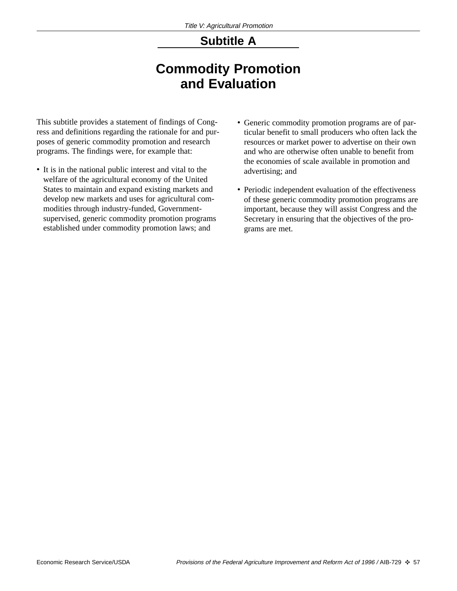# **Subtitle A**

# **Commodity Promotion and Evaluation**

This subtitle provides a statement of findings of Congress and definitions regarding the rationale for and purposes of generic commodity promotion and research programs. The findings were, for example that:

- It is in the national public interest and vital to the welfare of the agricultural economy of the United States to maintain and expand existing markets and develop new markets and uses for agricultural commodities through industry-funded, Governmentsupervised, generic commodity promotion programs established under commodity promotion laws; and
- Generic commodity promotion programs are of particular benefit to small producers who often lack the resources or market power to advertise on their own and who are otherwise often unable to benefit from the economies of scale available in promotion and advertising; and
- Periodic independent evaluation of the effectiveness of these generic commodity promotion programs are important, because they will assist Congress and the Secretary in ensuring that the objectives of the programs are met.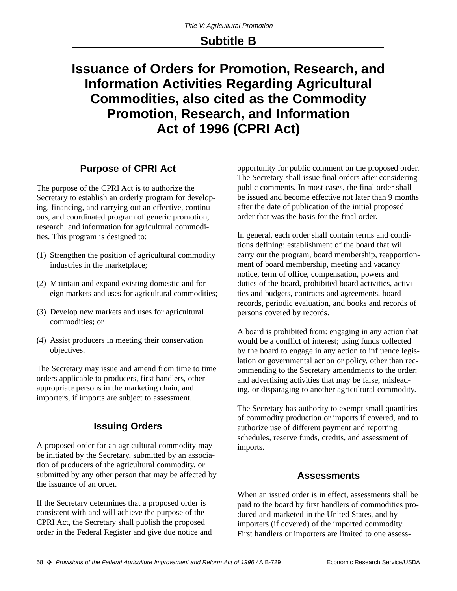### **Subtitle B**

# **Issuance of Orders for Promotion, Research, and Information Activities Regarding Agricultural Commodities, also cited as the Commodity Promotion, Research, and Information Act of 1996 (CPRI Act)**

#### **Purpose of CPRI Act**

The purpose of the CPRI Act is to authorize the Secretary to establish an orderly program for developing, financing, and carrying out an effective, continuous, and coordinated program of generic promotion, research, and information for agricultural commodities. This program is designed to:

- (1) Strengthen the position of agricultural commodity industries in the marketplace;
- (2) Maintain and expand existing domestic and foreign markets and uses for agricultural commodities;
- (3) Develop new markets and uses for agricultural commodities; or
- (4) Assist producers in meeting their conservation objectives.

The Secretary may issue and amend from time to time orders applicable to producers, first handlers, other appropriate persons in the marketing chain, and importers, if imports are subject to assessment.

#### **Issuing Orders**

A proposed order for an agricultural commodity may be initiated by the Secretary, submitted by an association of producers of the agricultural commodity, or submitted by any other person that may be affected by the issuance of an order.

If the Secretary determines that a proposed order is consistent with and will achieve the purpose of the CPRI Act, the Secretary shall publish the proposed order in the Federal Register and give due notice and opportunity for public comment on the proposed order. The Secretary shall issue final orders after considering public comments. In most cases, the final order shall be issued and become effective not later than 9 months after the date of publication of the initial proposed order that was the basis for the final order.

In general, each order shall contain terms and conditions defining: establishment of the board that will carry out the program, board membership, reapportionment of board membership, meeting and vacancy notice, term of office, compensation, powers and duties of the board, prohibited board activities, activities and budgets, contracts and agreements, board records, periodic evaluation, and books and records of persons covered by records.

A board is prohibited from: engaging in any action that would be a conflict of interest; using funds collected by the board to engage in any action to influence legislation or governmental action or policy, other than recommending to the Secretary amendments to the order; and advertising activities that may be false, misleading, or disparaging to another agricultural commodity.

The Secretary has authority to exempt small quantities of commodity production or imports if covered, and to authorize use of different payment and reporting schedules, reserve funds, credits, and assessment of imports.

#### **Assessments**

When an issued order is in effect, assessments shall be paid to the board by first handlers of commodities produced and marketed in the United States, and by importers (if covered) of the imported commodity. First handlers or importers are limited to one assess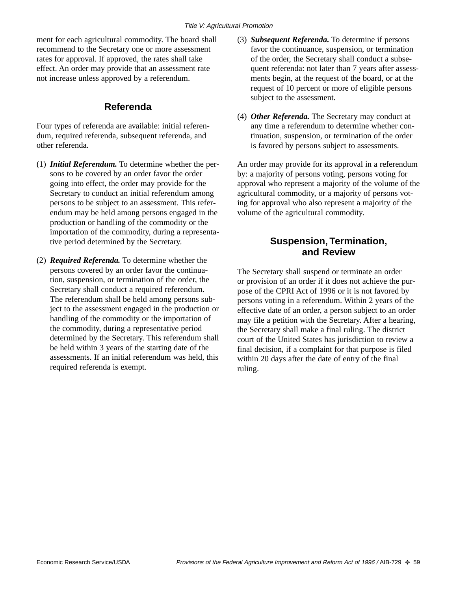ment for each agricultural commodity. The board shall recommend to the Secretary one or more assessment rates for approval. If approved, the rates shall take effect. An order may provide that an assessment rate not increase unless approved by a referendum.

#### **Referenda**

Four types of referenda are available: initial referendum, required referenda, subsequent referenda, and other referenda.

- (1) *Initial Referendum.* To determine whether the persons to be covered by an order favor the order going into effect, the order may provide for the Secretary to conduct an initial referendum among persons to be subject to an assessment. This referendum may be held among persons engaged in the production or handling of the commodity or the importation of the commodity, during a representative period determined by the Secretary.
- (2) *Required Referenda.* To determine whether the persons covered by an order favor the continuation, suspension, or termination of the order, the Secretary shall conduct a required referendum. The referendum shall be held among persons subject to the assessment engaged in the production or handling of the commodity or the importation of the commodity, during a representative period determined by the Secretary. This referendum shall be held within 3 years of the starting date of the assessments. If an initial referendum was held, this required referenda is exempt.
- (3) *Subsequent Referenda.* To determine if persons favor the continuance, suspension, or termination of the order, the Secretary shall conduct a subsequent referenda: not later than 7 years after assessments begin, at the request of the board, or at the request of 10 percent or more of eligible persons subject to the assessment.
- (4) *Other Referenda.* The Secretary may conduct at any time a referendum to determine whether continuation, suspension, or termination of the order is favored by persons subject to assessments.

An order may provide for its approval in a referendum by: a majority of persons voting, persons voting for approval who represent a majority of the volume of the agricultural commodity, or a majority of persons voting for approval who also represent a majority of the volume of the agricultural commodity.

#### **Suspension, Termination, and Review**

The Secretary shall suspend or terminate an order or provision of an order if it does not achieve the purpose of the CPRI Act of 1996 or it is not favored by persons voting in a referendum. Within 2 years of the effective date of an order, a person subject to an order may file a petition with the Secretary. After a hearing, the Secretary shall make a final ruling. The district court of the United States has jurisdiction to review a final decision, if a complaint for that purpose is filed within 20 days after the date of entry of the final ruling.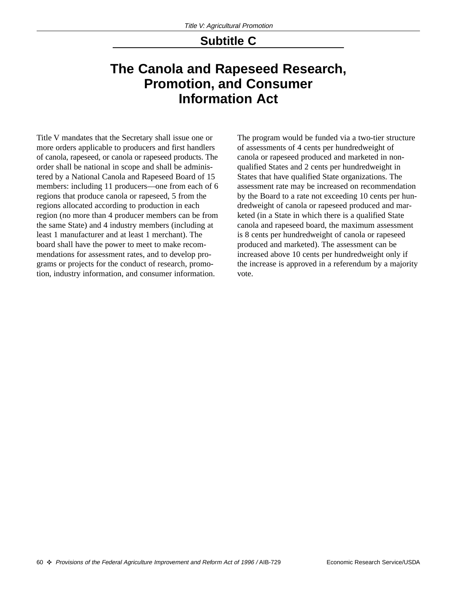### **Subtitle C**

### **The Canola and Rapeseed Research, Promotion, and Consumer Information Act**

Title V mandates that the Secretary shall issue one or more orders applicable to producers and first handlers of canola, rapeseed, or canola or rapeseed products. The order shall be national in scope and shall be administered by a National Canola and Rapeseed Board of 15 members: including 11 producers—one from each of 6 regions that produce canola or rapeseed, 5 from the regions allocated according to production in each region (no more than 4 producer members can be from the same State) and 4 industry members (including at least 1 manufacturer and at least 1 merchant). The board shall have the power to meet to make recommendations for assessment rates, and to develop programs or projects for the conduct of research, promotion, industry information, and consumer information.

The program would be funded via a two-tier structure of assessments of 4 cents per hundredweight of canola or rapeseed produced and marketed in nonqualified States and 2 cents per hundredweight in States that have qualified State organizations. The assessment rate may be increased on recommendation by the Board to a rate not exceeding 10 cents per hundredweight of canola or rapeseed produced and marketed (in a State in which there is a qualified State canola and rapeseed board, the maximum assessment is 8 cents per hundredweight of canola or rapeseed produced and marketed). The assessment can be increased above 10 cents per hundredweight only if the increase is approved in a referendum by a majority vote.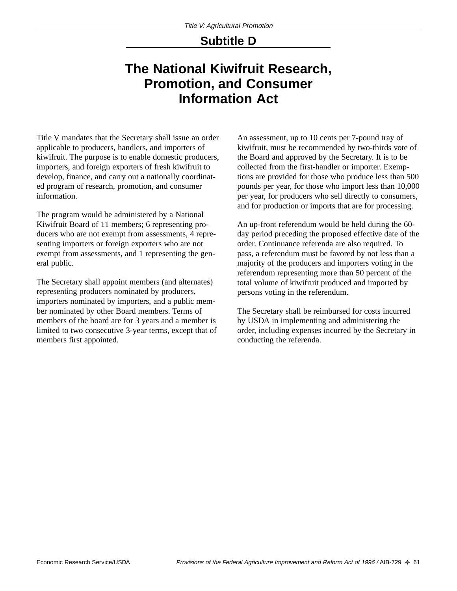### **Subtitle D**

### **The National Kiwifruit Research, Promotion, and Consumer Information Act**

Title V mandates that the Secretary shall issue an order applicable to producers, handlers, and importers of kiwifruit. The purpose is to enable domestic producers, importers, and foreign exporters of fresh kiwifruit to develop, finance, and carry out a nationally coordinated program of research, promotion, and consumer information.

The program would be administered by a National Kiwifruit Board of 11 members; 6 representing producers who are not exempt from assessments, 4 representing importers or foreign exporters who are not exempt from assessments, and 1 representing the general public.

The Secretary shall appoint members (and alternates) representing producers nominated by producers, importers nominated by importers, and a public member nominated by other Board members. Terms of members of the board are for 3 years and a member is limited to two consecutive 3-year terms, except that of members first appointed.

An assessment, up to 10 cents per 7-pound tray of kiwifruit, must be recommended by two-thirds vote of the Board and approved by the Secretary. It is to be collected from the first-handler or importer. Exemptions are provided for those who produce less than 500 pounds per year, for those who import less than 10,000 per year, for producers who sell directly to consumers, and for production or imports that are for processing.

An up-front referendum would be held during the 60 day period preceding the proposed effective date of the order. Continuance referenda are also required. To pass, a referendum must be favored by not less than a majority of the producers and importers voting in the referendum representing more than 50 percent of the total volume of kiwifruit produced and imported by persons voting in the referendum.

The Secretary shall be reimbursed for costs incurred by USDA in implementing and administering the order, including expenses incurred by the Secretary in conducting the referenda.